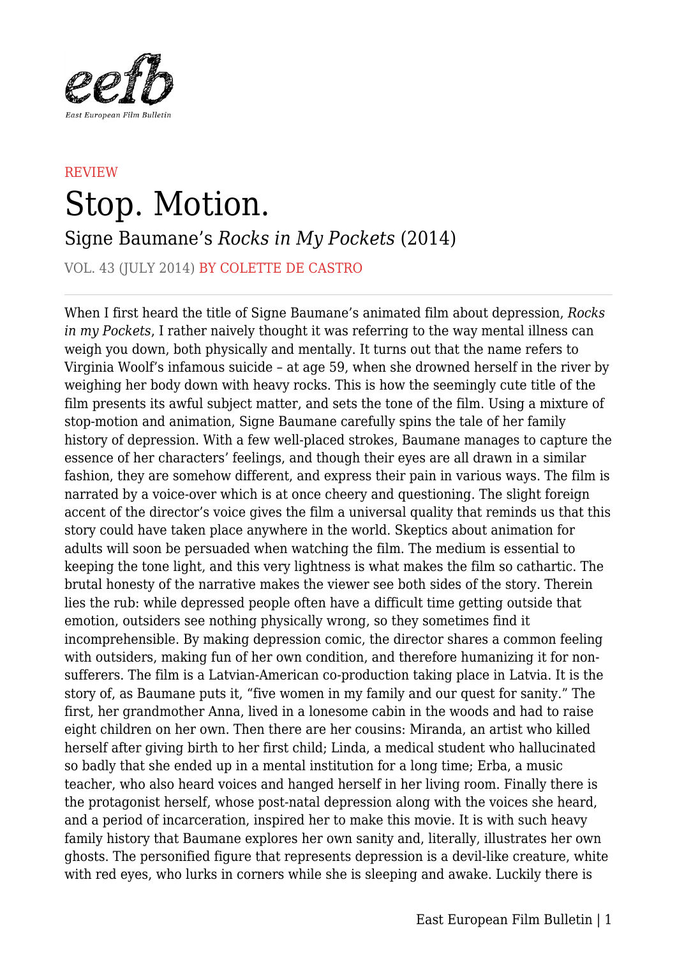

## **REVIEW** Stop. Motion. Signe Baumane's *Rocks in My Pockets* (2014)

VOL. 43 (JULY 2014) BY COLETTE DE CASTRO

When I first heard the title of Signe Baumane's animated film about depression, *Rocks in my Pockets*, I rather naively thought it was referring to the way mental illness can weigh you down, both physically and mentally. It turns out that the name refers to Virginia Woolf's infamous suicide – at age 59, when she drowned herself in the river by weighing her body down with heavy rocks. This is how the seemingly cute title of the film presents its awful subject matter, and sets the tone of the film. Using a mixture of stop-motion and animation, Signe Baumane carefully spins the tale of her family history of depression. With a few well-placed strokes, Baumane manages to capture the essence of her characters' feelings, and though their eyes are all drawn in a similar fashion, they are somehow different, and express their pain in various ways. The film is narrated by a voice-over which is at once cheery and questioning. The slight foreign accent of the director's voice gives the film a universal quality that reminds us that this story could have taken place anywhere in the world. Skeptics about animation for adults will soon be persuaded when watching the film. The medium is essential to keeping the tone light, and this very lightness is what makes the film so cathartic. The brutal honesty of the narrative makes the viewer see both sides of the story. Therein lies the rub: while depressed people often have a difficult time getting outside that emotion, outsiders see nothing physically wrong, so they sometimes find it incomprehensible. By making depression comic, the director shares a common feeling with outsiders, making fun of her own condition, and therefore humanizing it for nonsufferers. The film is a Latvian-American co-production taking place in Latvia. It is the story of, as Baumane puts it, "five women in my family and our quest for sanity." The first, her grandmother Anna, lived in a lonesome cabin in the woods and had to raise eight children on her own. Then there are her cousins: Miranda, an artist who killed herself after giving birth to her first child; Linda, a medical student who hallucinated so badly that she ended up in a mental institution for a long time; Erba, a music teacher, who also heard voices and hanged herself in her living room. Finally there is the protagonist herself, whose post-natal depression along with the voices she heard, and a period of incarceration, inspired her to make this movie. It is with such heavy family history that Baumane explores her own sanity and, literally, illustrates her own ghosts. The personified figure that represents depression is a devil-like creature, white with red eyes, who lurks in corners while she is sleeping and awake. Luckily there is